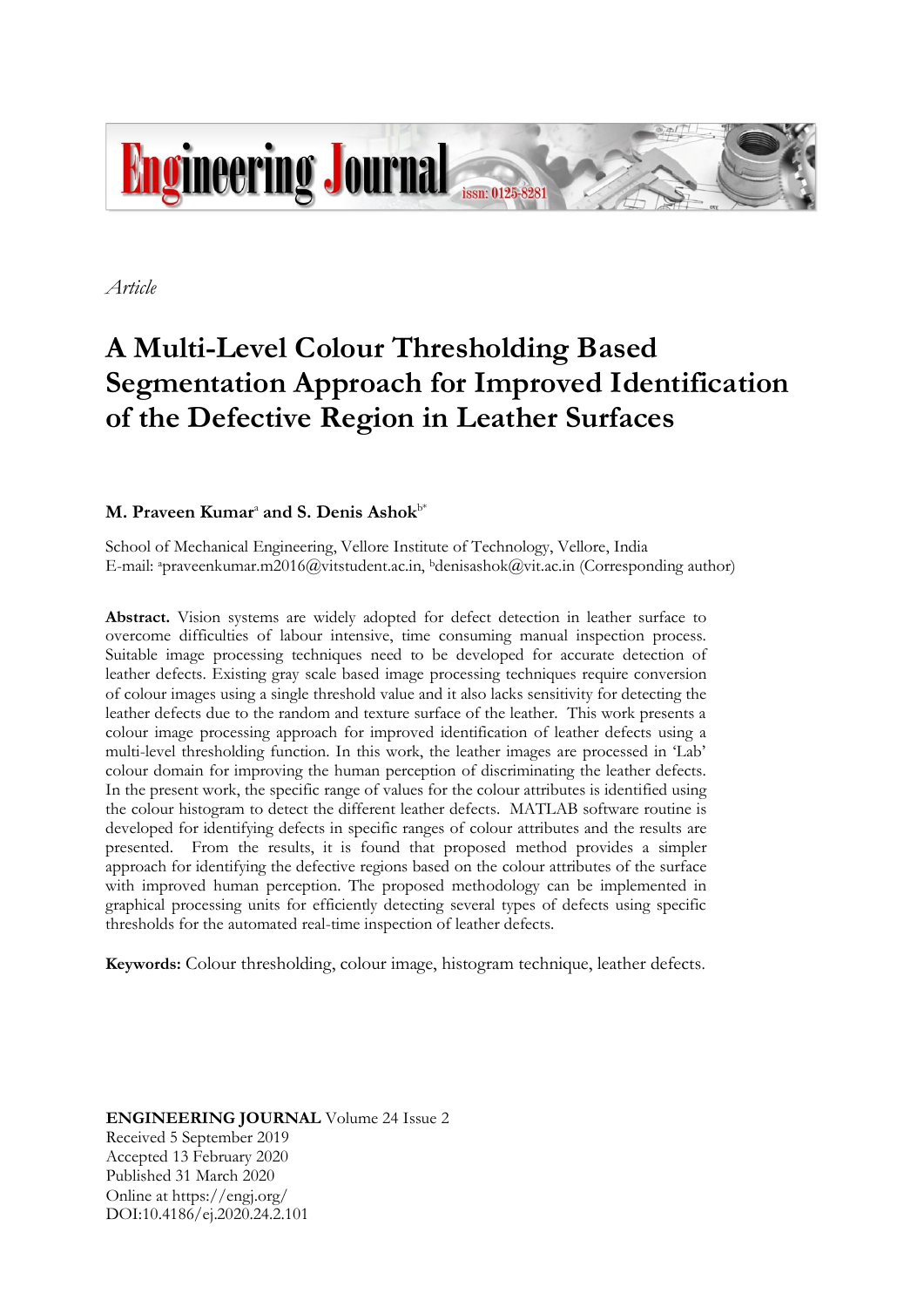

*Article*

# **A Multi-Level Colour Thresholding Based Segmentation Approach for Improved Identification of the Defective Region in Leather Surfaces**

## $M$ . Praveen Kumar<sup>a</sup> and S. Denis Ashok<sup>b\*</sup>

School of Mechanical Engineering, Vellore Institute of Technology, Vellore, India E-mail: apraveenkumar.m2016@vitstudent.ac.in, <sup>b</sup>denisashok@vit.ac.in (Corresponding author)

**Abstract.** Vision systems are widely adopted for defect detection in leather surface to overcome difficulties of labour intensive, time consuming manual inspection process. Suitable image processing techniques need to be developed for accurate detection of leather defects. Existing gray scale based image processing techniques require conversion of colour images using a single threshold value and it also lacks sensitivity for detecting the leather defects due to the random and texture surface of the leather. This work presents a colour image processing approach for improved identification of leather defects using a multi-level thresholding function. In this work, the leather images are processed in 'Lab' colour domain for improving the human perception of discriminating the leather defects. In the present work, the specific range of values for the colour attributes is identified using the colour histogram to detect the different leather defects. MATLAB software routine is developed for identifying defects in specific ranges of colour attributes and the results are presented. From the results, it is found that proposed method provides a simpler approach for identifying the defective regions based on the colour attributes of the surface with improved human perception. The proposed methodology can be implemented in graphical processing units for efficiently detecting several types of defects using specific thresholds for the automated real-time inspection of leather defects.

**Keywords:** Colour thresholding, colour image, histogram technique, leather defects.

**ENGINEERING JOURNAL** Volume 24 Issue 2 Received 5 September 2019 Accepted 13 February 2020 Published 31 March 2020 Online at https://engj.org/ DOI:10.4186/ej.2020.24.2.101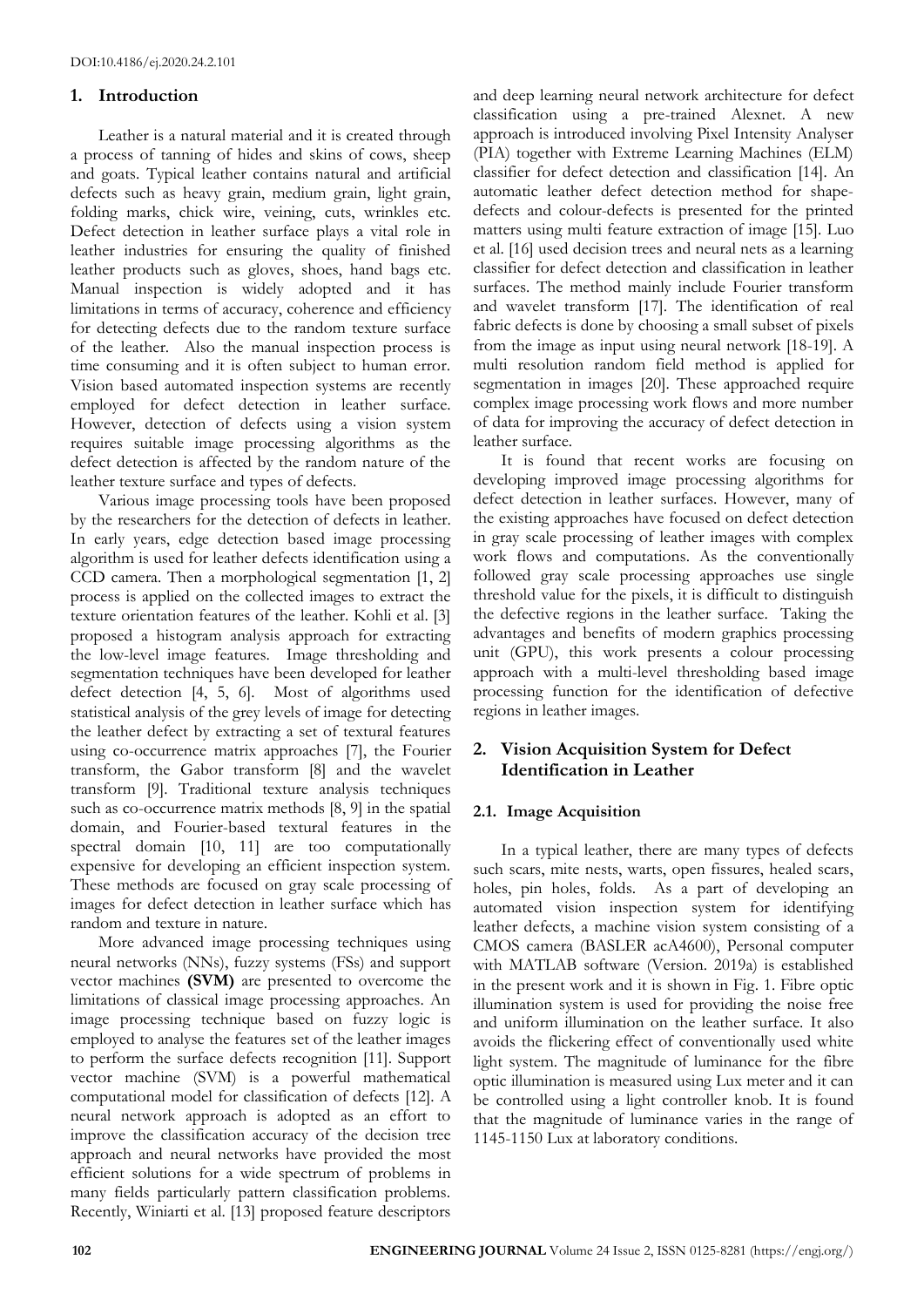#### **1. Introduction**

Leather is a natural material and it is created through a process of tanning of hides and skins of cows, sheep and goats. Typical leather contains natural and artificial defects such as heavy grain, medium grain, light grain, folding marks, chick wire, veining, cuts, wrinkles etc. Defect detection in leather surface plays a vital role in leather industries for ensuring the quality of finished leather products such as gloves, shoes, hand bags etc. Manual inspection is widely adopted and it has limitations in terms of accuracy, coherence and efficiency for detecting defects due to the random texture surface of the leather. Also the manual inspection process is time consuming and it is often subject to human error. Vision based automated inspection systems are recently employed for defect detection in leather surface. However, detection of defects using a vision system requires suitable image processing algorithms as the defect detection is affected by the random nature of the leather texture surface and types of defects.

Various image processing tools have been proposed by the researchers for the detection of defects in leather. In early years, edge detection based image processing algorithm is used for leather defects identification using a CCD camera. Then a morphological segmentation [1, 2] process is applied on the collected images to extract the texture orientation features of the leather. Kohli et al. [3] proposed a histogram analysis approach for extracting the low-level image features. Image thresholding and segmentation techniques have been developed for leather defect detection [4, 5, 6]. Most of algorithms used statistical analysis of the grey levels of image for detecting the leather defect by extracting a set of textural features using co-occurrence matrix approaches [7], the Fourier transform, the Gabor transform [8] and the wavelet transform [9]. Traditional texture analysis techniques such as co-occurrence matrix methods [8, 9] in the spatial domain, and Fourier-based textural features in the spectral domain [10, 11] are too computationally expensive for developing an efficient inspection system. These methods are focused on gray scale processing of images for defect detection in leather surface which has random and texture in nature.

More advanced image processing techniques using neural networks (NNs), fuzzy systems (FSs) and support vector machines **(SVM)** are presented to overcome the limitations of classical image processing approaches. An image processing technique based on fuzzy logic is employed to analyse the features set of the leather images to perform the surface defects recognition [11]. Support vector machine (SVM) is a powerful mathematical computational model for classification of defects [12]. A neural network approach is adopted as an effort to improve the classification accuracy of the decision tree approach and neural networks have provided the most efficient solutions for a wide spectrum of problems in many fields particularly pattern classification problems. Recently, Winiarti et al. [13] proposed feature descriptors

and deep learning neural network architecture for defect classification using a pre-trained Alexnet. A new approach is introduced involving Pixel Intensity Analyser (PIA) together with Extreme Learning Machines (ELM) classifier for defect detection and classification [14]. An automatic leather defect detection method for shapedefects and colour-defects is presented for the printed matters using multi feature extraction of image [15]. Luo et al. [16] used decision trees and neural nets as a learning classifier for defect detection and classification in leather surfaces. The method mainly include Fourier transform and wavelet transform [17]. The identification of real fabric defects is done by choosing a small subset of pixels from the image as input using neural network [18-19]. A multi resolution random field method is applied for segmentation in images [20]. These approached require complex image processing work flows and more number of data for improving the accuracy of defect detection in leather surface.

It is found that recent works are focusing on developing improved image processing algorithms for defect detection in leather surfaces. However, many of the existing approaches have focused on defect detection in gray scale processing of leather images with complex work flows and computations. As the conventionally followed gray scale processing approaches use single threshold value for the pixels, it is difficult to distinguish the defective regions in the leather surface. Taking the advantages and benefits of modern graphics processing unit (GPU), this work presents a colour processing approach with a multi-level thresholding based image processing function for the identification of defective regions in leather images.

## **2. Vision Acquisition System for Defect Identification in Leather**

#### **2.1. Image Acquisition**

In a typical leather, there are many types of defects such scars, mite nests, warts, open fissures, healed scars, holes, pin holes, folds. As a part of developing an automated vision inspection system for identifying leather defects, a machine vision system consisting of a CMOS camera (BASLER acA4600), Personal computer with MATLAB software (Version. 2019a) is established in the present work and it is shown in Fig. 1. Fibre optic illumination system is used for providing the noise free and uniform illumination on the leather surface. It also avoids the flickering effect of conventionally used white light system. The magnitude of luminance for the fibre optic illumination is measured using Lux meter and it can be controlled using a light controller knob. It is found that the magnitude of luminance varies in the range of 1145-1150 Lux at laboratory conditions.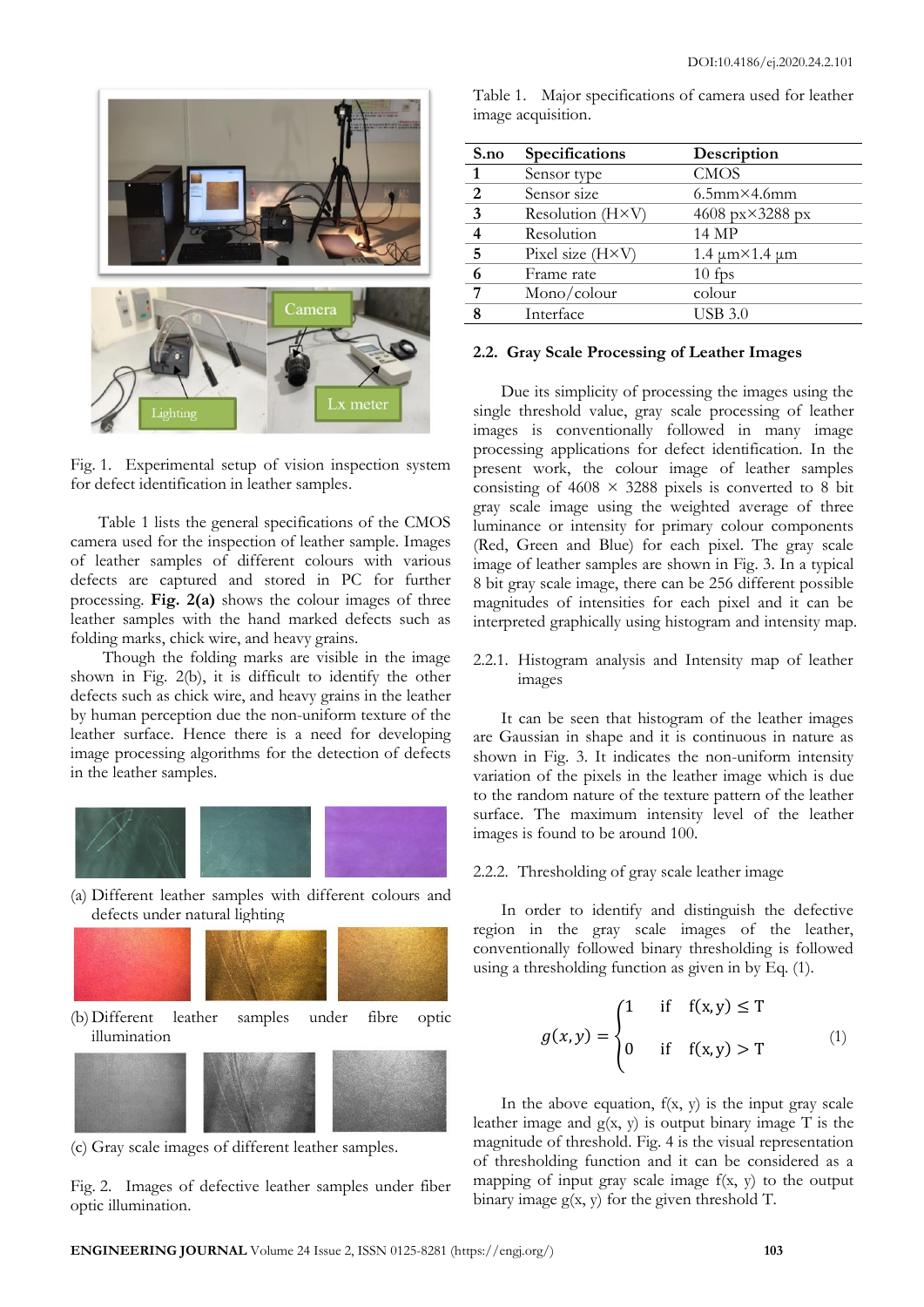

Fig. 1. Experimental setup of vision inspection system for defect identification in leather samples.

Table 1 lists the general specifications of the CMOS camera used for the inspection of leather sample. Images of leather samples of different colours with various defects are captured and stored in PC for further processing. **Fig. 2(a)** shows the colour images of three leather samples with the hand marked defects such as folding marks, chick wire, and heavy grains.

Though the folding marks are visible in the image shown in Fig. 2(b), it is difficult to identify the other defects such as chick wire, and heavy grains in the leather by human perception due the non-uniform texture of the leather surface. Hence there is a need for developing image processing algorithms for the detection of defects in the leather samples.



(a) Different leather samples with different colours and defects under natural lighting



(c) Gray scale images of different leather samples.

Fig. 2. Images of defective leather samples under fiber optic illumination.

| S.no           | Specifications            | Description                  |  |
|----------------|---------------------------|------------------------------|--|
| $\mathbf{1}$   | Sensor type               | <b>CMOS</b>                  |  |
| 2              | Sensor size               | $6.5$ mm $\times$ 4.6mm      |  |
| 3              | Resolution (H×V)          | 4608 px×3288 px              |  |
| $\overline{4}$ | Resolution                | 14 MP                        |  |
| 5              | Pixel size $(H \times V)$ | $1.4 \mu m \times 1.4 \mu m$ |  |

Table 1. Major specifications of camera used for leather

image acquisition.

#### **2.2. Gray Scale Processing of Leather Images**

**6** Frame rate 10 fps **7** Mono/colour colour **8** Interface USB 3.0

Due its simplicity of processing the images using the single threshold value, gray scale processing of leather images is conventionally followed in many image processing applications for defect identification. In the present work, the colour image of leather samples consisting of  $4608 \times 3288$  pixels is converted to 8 bit gray scale image using the weighted average of three luminance or intensity for primary colour components (Red, Green and Blue) for each pixel. The gray scale image of leather samples are shown in Fig. 3. In a typical 8 bit gray scale image, there can be 256 different possible magnitudes of intensities for each pixel and it can be interpreted graphically using histogram and intensity map.

2.2.1. Histogram analysis and Intensity map of leather images

It can be seen that histogram of the leather images are Gaussian in shape and it is continuous in nature as shown in Fig. 3. It indicates the non-uniform intensity variation of the pixels in the leather image which is due to the random nature of the texture pattern of the leather surface. The maximum intensity level of the leather images is found to be around 100.

#### 2.2.2. Thresholding of gray scale leather image

In order to identify and distinguish the defective region in the gray scale images of the leather, conventionally followed binary thresholding is followed using a thresholding function as given in by Eq. (1).

$$
g(x,y) = \begin{cases} 1 & \text{if } f(x,y) \le T \\ 0 & \text{if } f(x,y) > T \end{cases}
$$
 (1)

In the above equation,  $f(x, y)$  is the input gray scale leather image and  $g(x, y)$  is output binary image T is the magnitude of threshold. Fig. 4 is the visual representation of thresholding function and it can be considered as a mapping of input gray scale image  $f(x, y)$  to the output binary image  $g(x, y)$  for the given threshold T.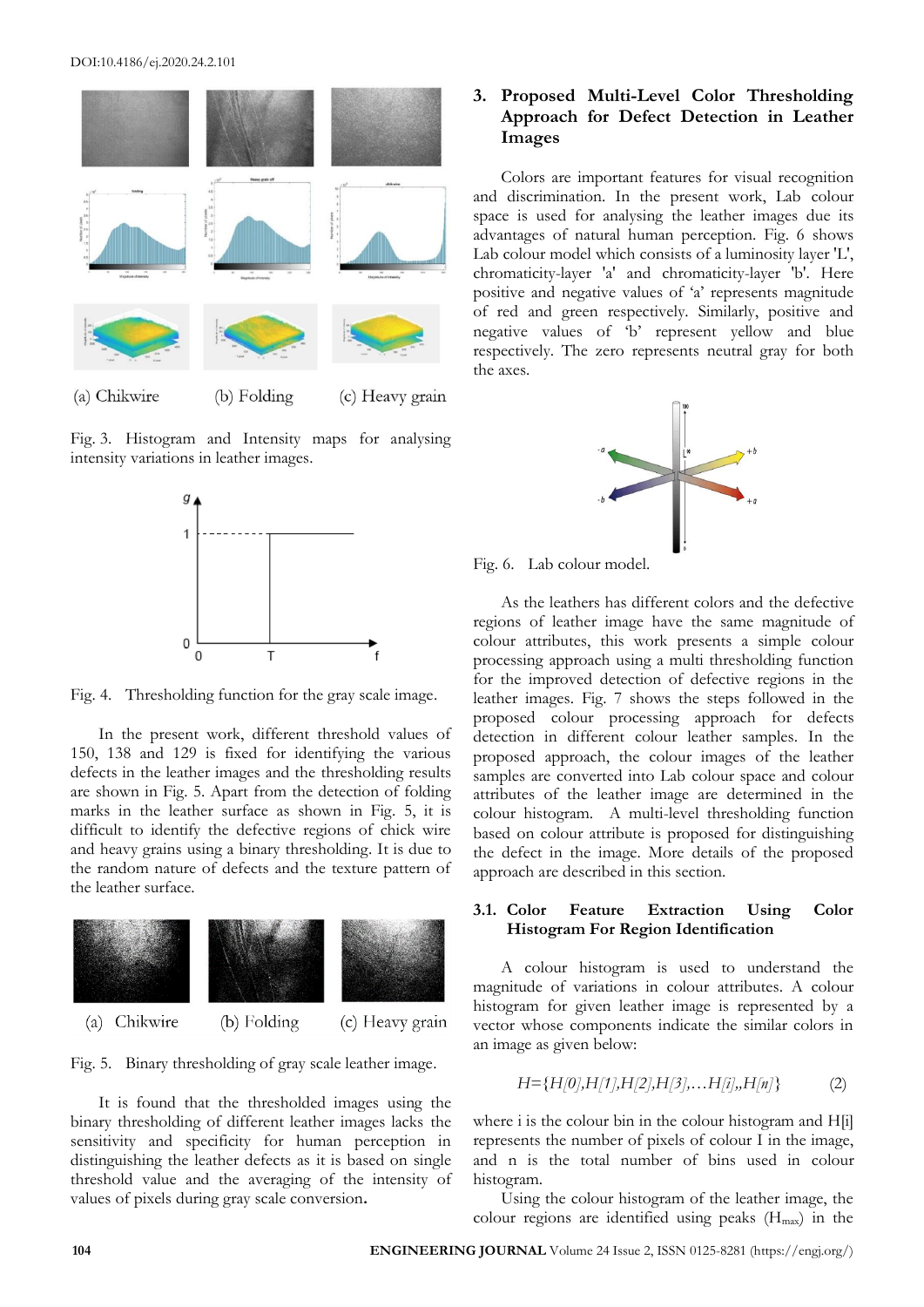

Fig. 3. Histogram and Intensity maps for analysing intensity variations in leather images.



Fig. 4. Thresholding function for the gray scale image.

In the present work, different threshold values of 150, 138 and 129 is fixed for identifying the various defects in the leather images and the thresholding results are shown in Fig. 5. Apart from the detection of folding marks in the leather surface as shown in Fig. 5, it is difficult to identify the defective regions of chick wire and heavy grains using a binary thresholding. It is due to the random nature of defects and the texture pattern of the leather surface.



Fig. 5. Binary thresholding of gray scale leather image.

It is found that the thresholded images using the binary thresholding of different leather images lacks the sensitivity and specificity for human perception in distinguishing the leather defects as it is based on single threshold value and the averaging of the intensity of values of pixels during gray scale conversion**.**

## **3. Proposed Multi-Level Color Thresholding Approach for Defect Detection in Leather Images**

Colors are important features for visual recognition and discrimination. In the present work, Lab colour space is used for analysing the leather images due its advantages of natural human perception. Fig. 6 shows Lab colour model which consists of a luminosity layer 'L', chromaticity-layer 'a' and chromaticity-layer 'b'. Here positive and negative values of 'a' represents magnitude of red and green respectively. Similarly, positive and negative values of 'b' represent yellow and blue respectively. The zero represents neutral gray for both the axes.





As the leathers has different colors and the defective regions of leather image have the same magnitude of colour attributes, this work presents a simple colour processing approach using a multi thresholding function for the improved detection of defective regions in the leather images. Fig. 7 shows the steps followed in the proposed colour processing approach for defects detection in different colour leather samples. In the proposed approach, the colour images of the leather samples are converted into Lab colour space and colour attributes of the leather image are determined in the colour histogram. A multi-level thresholding function based on colour attribute is proposed for distinguishing the defect in the image. More details of the proposed approach are described in this section.

#### **3.1. Color Feature Extraction Using Color Histogram For Region Identification**

A colour histogram is used to understand the magnitude of variations in colour attributes. A colour histogram for given leather image is represented by a vector whose components indicate the similar colors in an image as given below:

$$
H = \{H[0], H[1], H[2], H[3], \dots H[i], H[n]\}
$$
 (2)

where i is the colour bin in the colour histogram and H[i] represents the number of pixels of colour I in the image, and n is the total number of bins used in colour histogram.

Using the colour histogram of the leather image, the colour regions are identified using peaks  $(H_{\text{max}})$  in the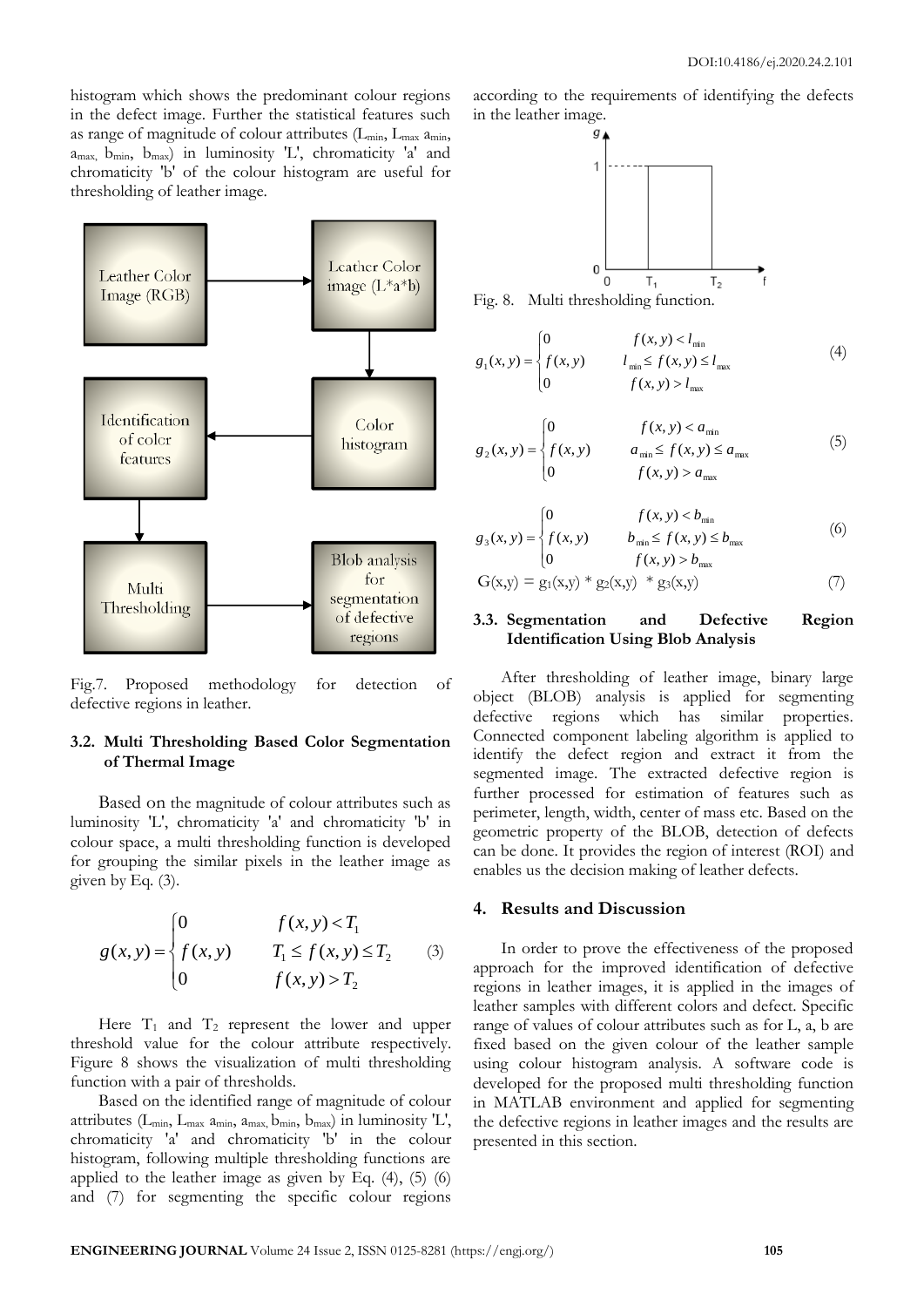histogram which shows the predominant colour regions in the defect image. Further the statistical features such as range of magnitude of colour attributes  $(L_{min}, L_{max} a_{min},$ amax, bmin, bmax) in luminosity 'L', chromaticity 'a' and chromaticity 'b' of the colour histogram are useful for thresholding of leather image.



Fig.7. Proposed methodology for detection of defective regions in leather.

#### **3.2. Multi Thresholding Based Color Segmentation of Thermal Image**

Based on the magnitude of colour attributes such as luminosity 'L', chromaticity 'a' and chromaticity 'b' in colour space, a multi thresholding function is developed for grouping the similar pixels in the leather image as given by Eq. (3).

$$
g(x, y) = \begin{cases} 0 & f(x, y) < T_1 \\ f(x, y) & T_1 \le f(x, y) \le T_2 \\ 0 & f(x, y) > T_2 \end{cases}
$$
 (3)

Here  $T_1$  and  $T_2$  represent the lower and upper threshold value for the colour attribute respectively. Figure 8 shows the visualization of multi thresholding function with a pair of thresholds.

Based on the identified range of magnitude of colour attributes ( $L_{\text{min}}$ ,  $L_{\text{max}}$   $a_{\text{min}}$ ,  $a_{\text{max}}$ ,  $b_{\text{min}}$ ,  $b_{\text{max}}$ ) in luminosity 'L', chromaticity 'a' and chromaticity 'b' in the colour histogram, following multiple thresholding functions are applied to the leather image as given by Eq.  $(4)$ ,  $(5)$   $(6)$ and (7) for segmenting the specific colour regions

according to the requirements of identifying the defects in the leather image.



Fig. 8. Multi thresholding function.

$$
g_1(x, y) = \begin{cases} 0 & f(x, y) < l_{\min} \\ f(x, y) & l_{\min} \le f(x, y) \le l_{\max} \\ 0 & f(x, y) > l_{\max} \end{cases}
$$
(4)

$$
g_2(x, y) = \begin{cases} 0 & f(x, y) < a_{\min} \\ f(x, y) & a_{\min} \le f(x, y) \le a_{\max} \\ 0 & f(x, y) > a_{\max} \end{cases}
$$
(5)

$$
g_3(x, y) = \begin{cases} 0 & f(x, y) < b_{\min} \\ f(x, y) & b_{\min} \le f(x, y) \le b_{\max} \\ 0 & f(x, y) > b_{\max} \end{cases}
$$
(6)

$$
G(x,y) = g_1(x,y) * g_2(x,y) * g_3(x,y)
$$
 (7)

#### **3.3. Segmentation and Defective Region Identification Using Blob Analysis**

After thresholding of leather image, binary large object (BLOB) analysis is applied for segmenting defective regions which has similar properties. Connected component labeling algorithm is applied to identify the defect region and extract it from the segmented image. The extracted defective region is further processed for estimation of features such as perimeter, length, width, center of mass etc. Based on the geometric property of the BLOB, detection of defects can be done. It provides the region of interest (ROI) and enables us the decision making of leather defects.

#### **4. Results and Discussion**

In order to prove the effectiveness of the proposed approach for the improved identification of defective regions in leather images, it is applied in the images of leather samples with different colors and defect. Specific range of values of colour attributes such as for L, a, b are fixed based on the given colour of the leather sample using colour histogram analysis. A software code is developed for the proposed multi thresholding function in MATLAB environment and applied for segmenting the defective regions in leather images and the results are presented in this section.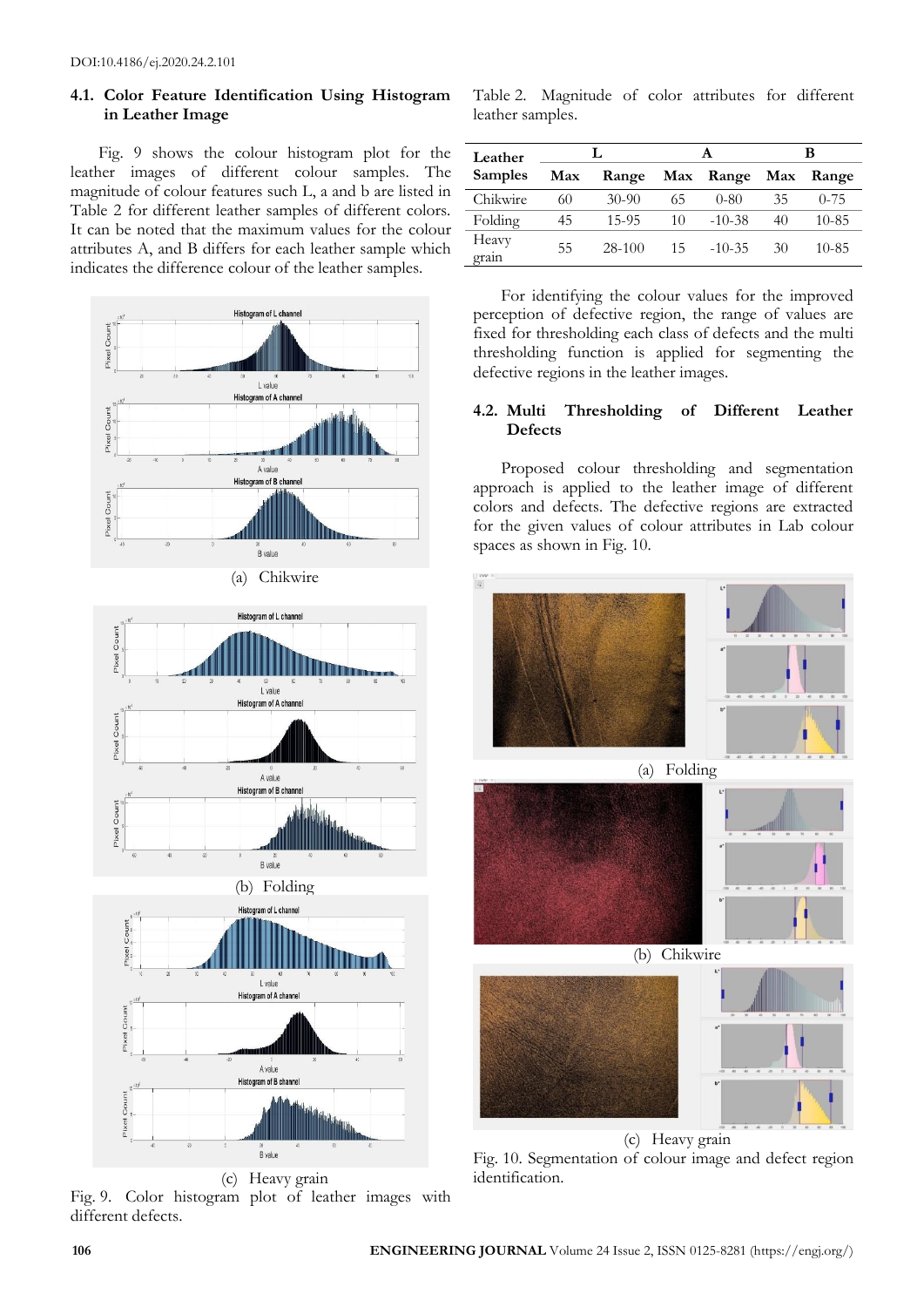#### **4.1. Color Feature Identification Using Histogram in Leather Image**

Fig. 9 shows the colour histogram plot for the leather images of different colour samples. The magnitude of colour features such L, a and b are listed in Table 2 for different leather samples of different colors. It can be noted that the maximum values for the colour attributes A, and B differs for each leather sample which indicates the difference colour of the leather samples.





(c) Heavy grain Fig. 9. Color histogram plot of leather images with different defects.

Table 2. Magnitude of color attributes for different leather samples.

| Leather        |     |         | A  |           | в   |           |
|----------------|-----|---------|----|-----------|-----|-----------|
| <b>Samples</b> | Max | Range   |    | Max Range | Max | Range     |
| Chikwire       | 60  | $30-90$ | 65 | $0 - 80$  | 35  | $0 - 75$  |
| Folding        | 45  | 15-95   | 10 | $-10-38$  | 40  | $10 - 85$ |
| Heavy<br>grain | 55  | 28-100  | 15 | $-10-35$  | 30  | $10 - 85$ |

For identifying the colour values for the improved perception of defective region, the range of values are fixed for thresholding each class of defects and the multi thresholding function is applied for segmenting the defective regions in the leather images.

### **4.2. Multi Thresholding of Different Leather Defects**

Proposed colour thresholding and segmentation approach is applied to the leather image of different colors and defects. The defective regions are extracted for the given values of colour attributes in Lab colour spaces as shown in Fig. 10.



(c) Heavy grain Fig. 10. Segmentation of colour image and defect region identification.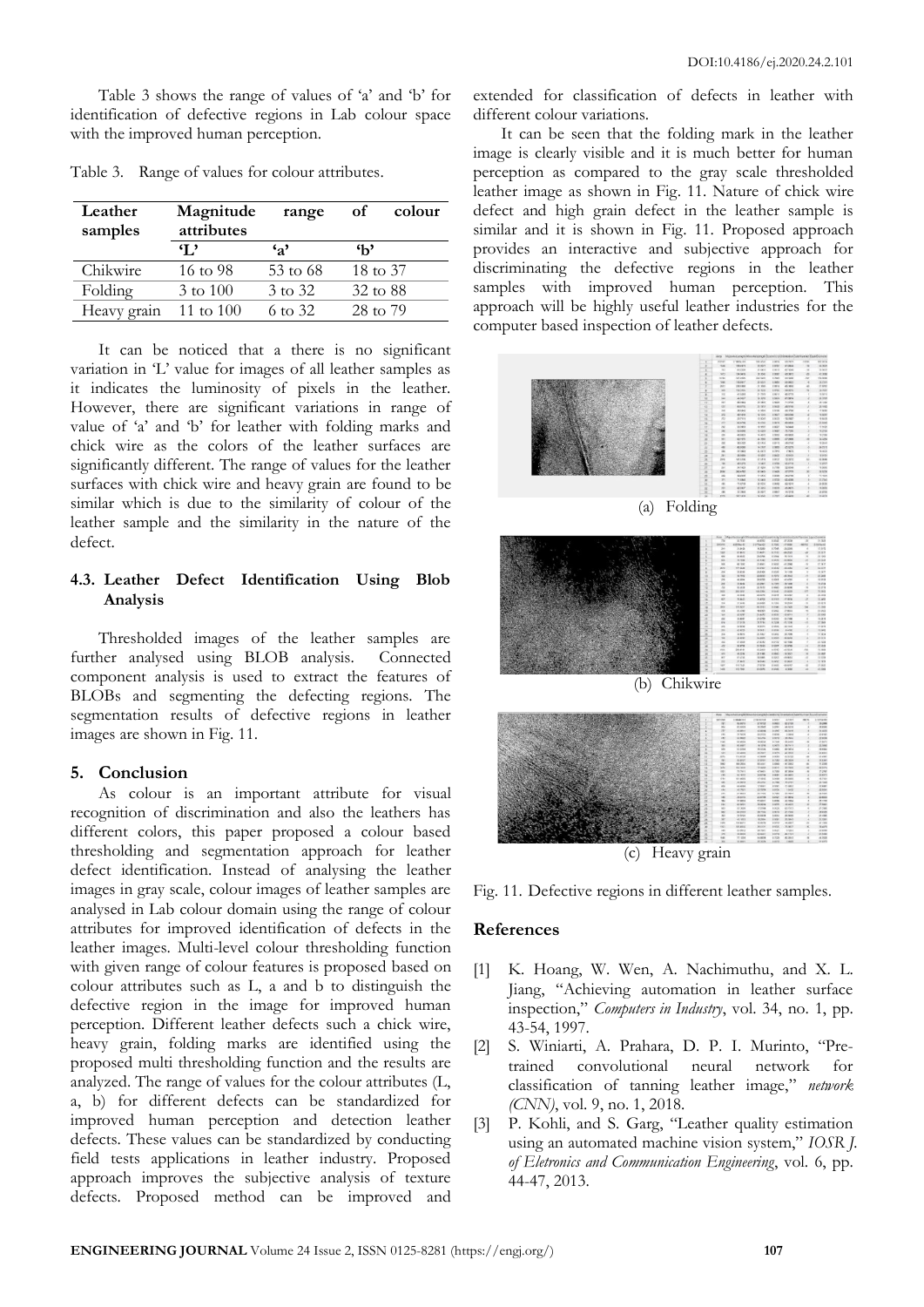Table 3 shows the range of values of 'a' and 'b' for identification of defective regions in Lab colour space with the improved human perception.

| Leather<br>samples | Magnitude<br>attributes | range        | оf           | colour |
|--------------------|-------------------------|--------------|--------------|--------|
|                    | I.,                     | $\mathbf{a}$ | $\mathbf{h}$ |        |
| Chikwire           | 16 to 98                | 53 to 68     | 18 to 37     |        |
| Folding            | 3 to 100                | 3 to 32      | 32 to 88     |        |
| Heavy grain        | 11 to $100$             | 6 to 32      | 28 to 79     |        |

Table 3. Range of values for colour attributes.

It can be noticed that a there is no significant variation in 'L' value for images of all leather samples as it indicates the luminosity of pixels in the leather. However, there are significant variations in range of value of 'a' and 'b' for leather with folding marks and chick wire as the colors of the leather surfaces are significantly different. The range of values for the leather surfaces with chick wire and heavy grain are found to be similar which is due to the similarity of colour of the leather sample and the similarity in the nature of the defect.

#### **4.3. Leather Defect Identification Using Blob Analysis**

Thresholded images of the leather samples are further analysed using BLOB analysis. Connected component analysis is used to extract the features of BLOBs and segmenting the defecting regions. The segmentation results of defective regions in leather images are shown in Fig. 11.

#### **5. Conclusion**

As colour is an important attribute for visual recognition of discrimination and also the leathers has different colors, this paper proposed a colour based thresholding and segmentation approach for leather defect identification. Instead of analysing the leather images in gray scale, colour images of leather samples are analysed in Lab colour domain using the range of colour attributes for improved identification of defects in the leather images. Multi-level colour thresholding function with given range of colour features is proposed based on colour attributes such as L, a and b to distinguish the defective region in the image for improved human perception. Different leather defects such a chick wire, heavy grain, folding marks are identified using the proposed multi thresholding function and the results are analyzed. The range of values for the colour attributes (L, a, b) for different defects can be standardized for improved human perception and detection leather defects. These values can be standardized by conducting field tests applications in leather industry. Proposed approach improves the subjective analysis of texture defects. Proposed method can be improved and

extended for classification of defects in leather with different colour variations.

It can be seen that the folding mark in the leather image is clearly visible and it is much better for human perception as compared to the gray scale thresholded leather image as shown in Fig. 11. Nature of chick wire defect and high grain defect in the leather sample is similar and it is shown in Fig. 11. Proposed approach provides an interactive and subjective approach for discriminating the defective regions in the leather samples with improved human perception. This approach will be highly useful leather industries for the computer based inspection of leather defects.



(a) Folding





Fig. 11. Defective regions in different leather samples.

#### **References**

- [1] K. Hoang, W. Wen, A. Nachimuthu, and X. L. Jiang, "Achieving automation in leather surface inspection," *Computers in Industry*, vol. 34, no. 1, pp. 43-54, 1997.
- [2] S. Winiarti, A. Prahara, D. P. I. Murinto, "Pretrained convolutional neural network for classification of tanning leather image," *network (CNN)*, vol. 9, no. 1, 2018.
- [3] P. Kohli, and S. Garg, "Leather quality estimation using an automated machine vision system," *IOSR J. of Eletronics and Communication Engineering*, vol. 6, pp. 44-47, 2013.